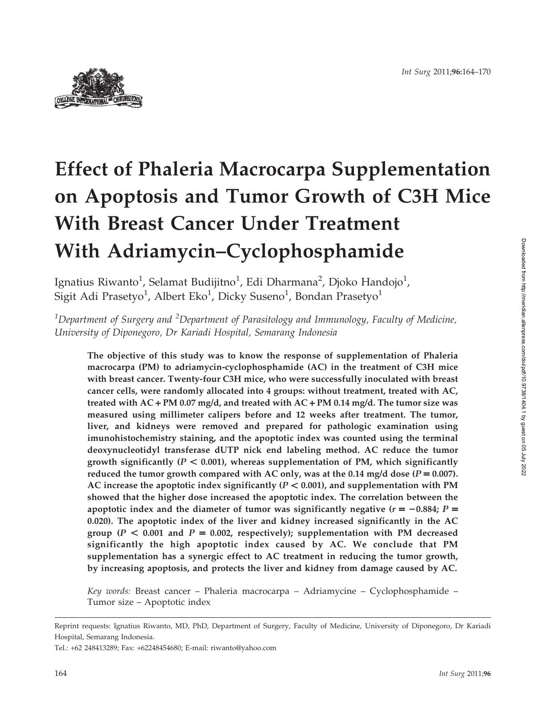

# Effect of Phaleria Macrocarpa Supplementation on Apoptosis and Tumor Growth of C3H Mice With Breast Cancer Under Treatment With Adriamycin–Cyclophosphamide

Ignatius Riwanto<sup>1</sup>, Selamat Budijitno<sup>1</sup>, Edi Dharmana<sup>2</sup>, Djoko Handojo<sup>1</sup>, Sigit Adi Prasetyo $^1$ , Albert Eko $^1$ , Dicky Suseno $^1$ , Bondan Prasetyo $^1$ 

 $^{\rm 1}$ Department of Surgery and  $^{\rm 2}$ Department of Parasitology and Immunology, Faculty of Medicine, University of Diponegoro, Dr Kariadi Hospital, Semarang Indonesia

The objective of this study was to know the response of supplementation of Phaleria macrocarpa (PM) to adriamycin-cyclophosphamide (AC) in the treatment of C3H mice with breast cancer. Twenty-four C3H mice, who were successfully inoculated with breast cancer cells, were randomly allocated into 4 groups: without treatment, treated with AC, treated with AC + PM 0.07 mg/d, and treated with AC + PM 0.14 mg/d. The tumor size was measured using millimeter calipers before and 12 weeks after treatment. The tumor, liver, and kidneys were removed and prepared for pathologic examination using imunohistochemistry staining, and the apoptotic index was counted using the terminal deoxynucleotidyl transferase dUTP nick end labeling method. AC reduce the tumor growth significantly ( $P < 0.001$ ), whereas supplementation of PM, which significantly reduced the tumor growth compared with AC only, was at the 0.14 mg/d dose ( $P = 0.007$ ). AC increase the apoptotic index significantly ( $P < 0.001$ ), and supplementation with PM showed that the higher dose increased the apoptotic index. The correlation between the apoptotic index and the diameter of tumor was significantly negative  $(r = -0.884; P =$ 0.020). The apoptotic index of the liver and kidney increased significantly in the AC group ( $P < 0.001$  and  $P = 0.002$ , respectively); supplementation with PM decreased significantly the high apoptotic index caused by AC. We conclude that PM supplementation has a synergic effect to AC treatment in reducing the tumor growth, by increasing apoptosis, and protects the liver and kidney from damage caused by AC.

Key words: Breast cancer – Phaleria macrocarpa – Adriamycine – Cyclophosphamide – Tumor size – Apoptotic index

Tel.: +62 248413289; Fax: +62248454680; E-mail: riwanto@yahoo.com

Reprint requests: Ignatius Riwanto, MD, PhD, Department of Surgery, Faculty of Medicine, University of Diponegoro, Dr Kariadi Hospital, Semarang Indonesia.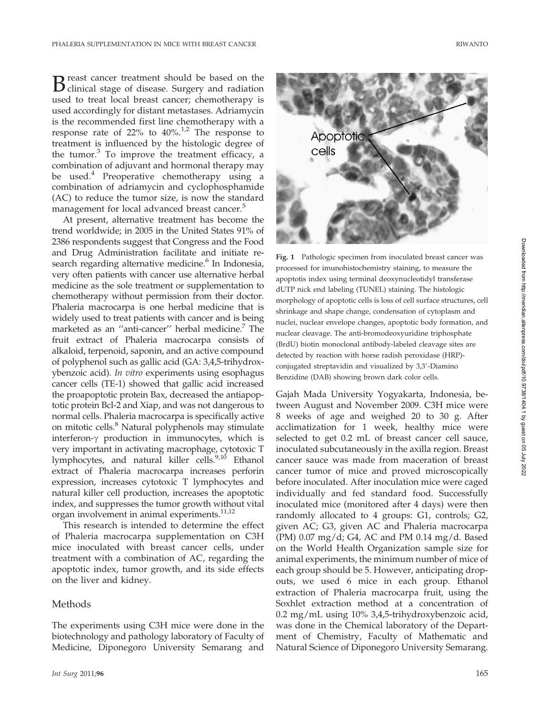B reast cancer treatment should be based on the clinical stage of disease. Surgery and radiation used to treat local breast cancer; chemotherapy is used accordingly for distant metastases. Adriamycin is the recommended first line chemotherapy with a response rate of  $22\%$  to  $40\%$ .<sup>1,2</sup> The response to treatment is influenced by the histologic degree of the tumor. $3$  To improve the treatment efficacy, a combination of adjuvant and hormonal therapy may be used.<sup>4</sup> Preoperative chemotherapy using a combination of adriamycin and cyclophosphamide (AC) to reduce the tumor size, is now the standard management for local advanced breast cancer.<sup>5</sup>

At present, alternative treatment has become the trend worldwide; in 2005 in the United States 91% of 2386 respondents suggest that Congress and the Food and Drug Administration facilitate and initiate research regarding alternative medicine.<sup>6</sup> In Indonesia, very often patients with cancer use alternative herbal medicine as the sole treatment or supplementation to chemotherapy without permission from their doctor. Phaleria macrocarpa is one herbal medicine that is widely used to treat patients with cancer and is being marketed as an "anti-cancer" herbal medicine.<sup>7</sup> The fruit extract of Phaleria macrocarpa consists of alkaloid, terpenoid, saponin, and an active compound of polyphenol such as gallic acid (GA: 3,4,5-trihydroxybenzoic acid). In vitro experiments using esophagus cancer cells (TE-1) showed that gallic acid increased the proapoptotic protein Bax, decreased the antiapoptotic protein Bcl-2 and Xiap, and was not dangerous to normal cells. Phaleria macrocarpa is specifically active on mitotic cells.8 Natural polyphenols may stimulate interferon- $\gamma$  production in immunocytes, which is very important in activating macrophage, cytotoxic T lymphocytes, and natural killer cells.<sup>9,10</sup> Ethanol extract of Phaleria macrocarpa increases perforin expression, increases cytotoxic T lymphocytes and natural killer cell production, increases the apoptotic index, and suppresses the tumor growth without vital organ involvement in animal experiments.<sup>11,12</sup>

This research is intended to determine the effect of Phaleria macrocarpa supplementation on C3H mice inoculated with breast cancer cells, under treatment with a combination of AC, regarding the apoptotic index, tumor growth, and its side effects on the liver and kidney.

#### Methods

The experiments using C3H mice were done in the biotechnology and pathology laboratory of Faculty of Medicine, Diponegoro University Semarang and



Fig. 1 Pathologic specimen from inoculated breast cancer was processed for imunohistochemistry staining, to measure the apoptotis index using terminal deoxynucleotidyl transferase dUTP nick end labeling (TUNEL) staining. The histologic morphology of apoptotic cells is loss of cell surface structures, cell shrinkage and shape change, condensation of cytoplasm and nuclei, nuclear envelope changes, apoptotic body formation, and nuclear cleavage. The anti-bromodeoxyuridine triphosphate (BrdU) biotin monoclonal antibody-labeled cleavage sites are detected by reaction with horse radish peroxidase (HRP) conjugated streptavidin and visualized by 3,3'-Diamino Benzidine (DAB) showing brown dark color cells.

Gajah Mada University Yogyakarta, Indonesia, between August and November 2009. C3H mice were 8 weeks of age and weighed 20 to 30 g. After acclimatization for 1 week, healthy mice were selected to get 0.2 mL of breast cancer cell sauce, inoculated subcutaneously in the axilla region. Breast cancer sauce was made from maceration of breast cancer tumor of mice and proved microscopically before inoculated. After inoculation mice were caged individually and fed standard food. Successfully inoculated mice (monitored after 4 days) were then randomly allocated to 4 groups: G1, controls; G2, given AC; G3, given AC and Phaleria macrocarpa (PM) 0.07 mg/d; G4, AC and PM 0.14 mg/d. Based on the World Health Organization sample size for animal experiments, the minimum number of mice of each group should be 5. However, anticipating dropouts, we used 6 mice in each group. Ethanol extraction of Phaleria macrocarpa fruit, using the Soxhlet extraction method at a concentration of 0.2 mg/mL using 10% 3,4,5-trihydroxybenzoic acid, was done in the Chemical laboratory of the Department of Chemistry, Faculty of Mathematic and Natural Science of Diponegoro University Semarang.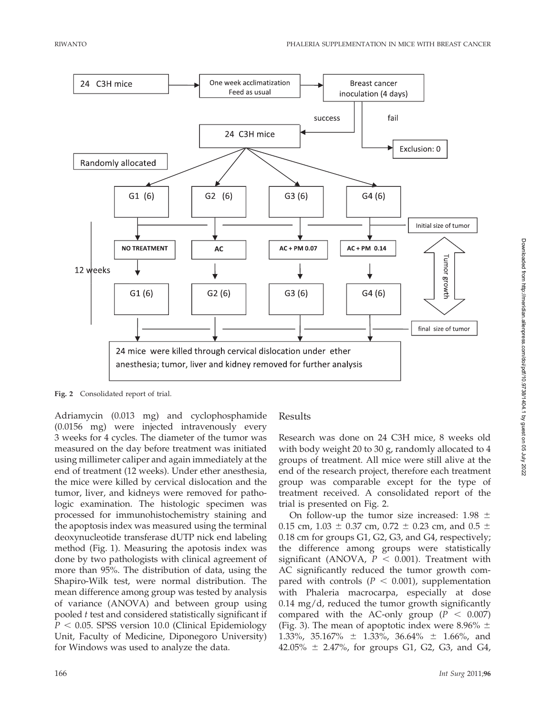

Fig. 2 Consolidated report of trial.

Adriamycin (0.013 mg) and cyclophosphamide (0.0156 mg) were injected intravenously every 3 weeks for 4 cycles. The diameter of the tumor was measured on the day before treatment was initiated using millimeter caliper and again immediately at the end of treatment (12 weeks). Under ether anesthesia, the mice were killed by cervical dislocation and the tumor, liver, and kidneys were removed for pathologic examination. The histologic specimen was processed for immunohistochemistry staining and the apoptosis index was measured using the terminal deoxynucleotide transferase dUTP nick end labeling method (Fig. 1). Measuring the apotosis index was done by two pathologists with clinical agreement of more than 95%. The distribution of data, using the Shapiro-Wilk test, were normal distribution. The mean difference among group was tested by analysis of variance (ANOVA) and between group using pooled t test and considered statistically significant if  $P < 0.05$ . SPSS version 10.0 (Clinical Epidemiology Unit, Faculty of Medicine, Diponegoro University) for Windows was used to analyze the data.

## Results

Research was done on 24 C3H mice, 8 weeks old with body weight 20 to 30 g, randomly allocated to 4 groups of treatment. All mice were still alive at the end of the research project, therefore each treatment group was comparable except for the type of treatment received. A consolidated report of the trial is presented on Fig. 2.

On follow-up the tumor size increased:  $1.98 \pm$ 0.15 cm, 1.03  $\pm$  0.37 cm, 0.72  $\pm$  0.23 cm, and 0.5  $\pm$ 0.18 cm for groups G1, G2, G3, and G4, respectively; the difference among groups were statistically significant (ANOVA,  $P < 0.001$ ). Treatment with AC significantly reduced the tumor growth compared with controls ( $P < 0.001$ ), supplementation with Phaleria macrocarpa, especially at dose 0.14 mg/d, reduced the tumor growth significantly compared with the AC-only group ( $P < 0.007$ ) (Fig. 3). The mean of apoptotic index were 8.96%  $\pm$ 1.33%, 35.167%  $\pm$  1.33%, 36.64%  $\pm$  1.66%, and  $42.05\% \pm 2.47\%$ , for groups G1, G2, G3, and G4,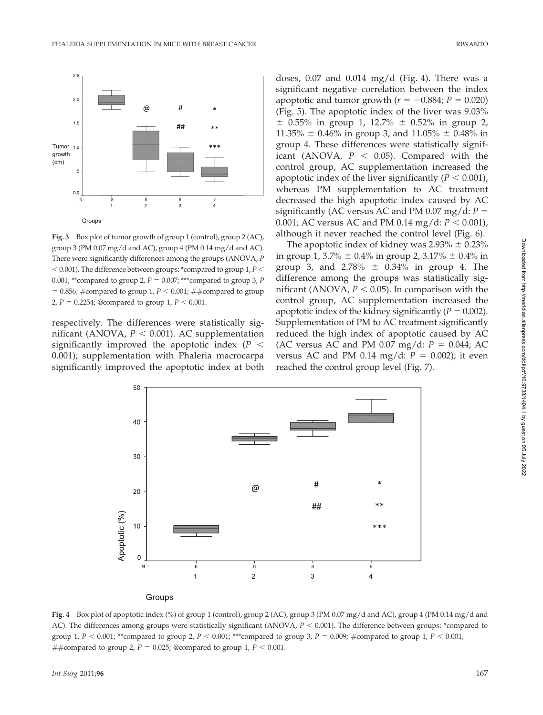

Fig. 3 Box plot of tumor growth of group 1 (control), group 2 (AC), group 3 (PM  $0.07 \text{ mg/d}$  and AC), group 4 (PM  $0.14 \text{ mg/d}$  and AC). There were significantly differences among the groups (ANOVA, P  $<$  0.001). The difference between groups: \*compared to group 1, P  $<$ 0.001; \*\*compared to group 2,  $P = 0.007$ ; \*\*\*compared to group 3, P = 0.856; #compared to group 1,  $P < 0.001$ ; ##compared to group 2,  $P = 0.2254$ ; @compared to group 1,  $P < 0.001$ .

respectively. The differences were statistically significant (ANOVA,  $P < 0.001$ ). AC supplementation significantly improved the apoptotic index ( $P \leq$ 0.001); supplementation with Phaleria macrocarpa significantly improved the apoptotic index at both

doses,  $0.07$  and  $0.014$  mg/d (Fig. 4). There was a significant negative correlation between the index apoptotic and tumor growth ( $r = -0.884$ ;  $P = 0.020$ ) (Fig. 5). The apoptotic index of the liver was 9.03%  $\pm$  0.55% in group 1, 12.7%  $\pm$  0.52% in group 2,  $11.35\% \pm 0.46\%$  in group 3, and  $11.05\% \pm 0.48\%$  in group 4. These differences were statistically significant (ANOVA,  $P < 0.05$ ). Compared with the control group, AC supplementation increased the apoptotic index of the liver significantly ( $P < 0.001$ ), whereas PM supplementation to AC treatment decreased the high apoptotic index caused by AC significantly (AC versus AC and PM 0.07 mg/d:  $P =$ 0.001; AC versus AC and PM 0.14 mg/d:  $P < 0.001$ ), although it never reached the control level (Fig. 6).

The apoptotic index of kidney was  $2.93\% \pm 0.23\%$ in group 1, 3.7%  $\pm$  0.4% in group 2, 3.17%  $\pm$  0.4% in group 3, and  $2.78\% \pm 0.34\%$  in group 4. The difference among the groups was statistically significant (ANOVA,  $P < 0.05$ ). In comparison with the control group, AC supplementation increased the apoptotic index of the kidney significantly ( $P = 0.002$ ). Supplementation of PM to AC treatment significantly reduced the high index of apoptotic caused by AC (AC versus AC and PM 0.07 mg/d:  $P = 0.044$ ; AC versus AC and PM 0.14 mg/d:  $P = 0.002$ ); it even reached the control group level (Fig. 7).



Fig. 4 Box plot of apoptotic index (%) of group 1 (control), group 2 (AC), group 3 (PM 0.07 mg/d and AC), group 4 (PM 0.14 mg/d and AC). The differences among groups were statistically significant (ANOVA,  $P < 0.001$ ). The difference between groups: \*compared to group 1,  $P < 0.001$ ; \*\*compared to group 2,  $P < 0.001$ ; \*\*\*compared to group 3,  $P = 0.009$ ; #compared to group 1,  $P < 0.001$ ; ##compared to group 2,  $P = 0.025$ ; @compared to group 1,  $P < 0.001$ .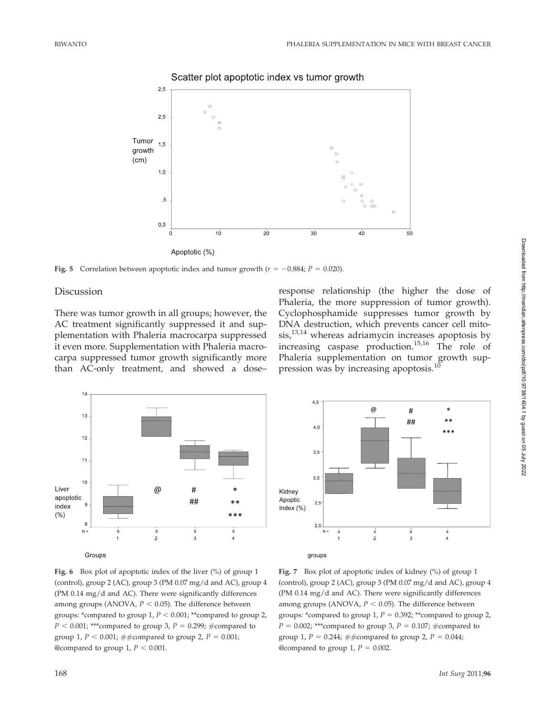

Scatter plot apoptotic index vs tumor growth

Fig. 5 Correlation between apoptotic index and tumor growth ( $r = -0.884$ ;  $P = 0.020$ ).

#### **Discussion**

There was tumor growth in all groups; however, the AC treatment significantly suppressed it and supplementation with Phaleria macrocarpa suppressed it even more. Supplementation with Phaleria macrocarpa suppressed tumor growth significantly more than AC-only treatment, and showed a dose–

response relationship (the higher the dose of Phaleria, the more suppression of tumor growth). Cyclophosphamide suppresses tumor growth by DNA destruction, which prevents cancer cell mitosis,13,14 whereas adriamycin increases apoptosis by increasing caspase production.15,16 The role of Phaleria supplementation on tumor growth suppression was by increasing apoptosis.<sup>1</sup>





Fig. 6 Box plot of apoptotic index of the liver (%) of group 1 (control), group 2 (AC), group 3 (PM 0.07 mg/d and AC), group 4 (PM 0.14 mg/d and AC). There were significantly differences among groups (ANOVA,  $P < 0.05$ ). The difference between groups: \*compared to group 1,  $P < 0.001$ ; \*\*compared to group 2,  $P < 0.001$ ; \*\*\*compared to group 3,  $P = 0.299$ ; #compared to group 1,  $P < 0.001$ ; ##compared to group 2,  $P = 0.001$ ; @compared to group 1,  $P < 0.001$ .

Fig. 7 Box plot of apoptotic index of kidney (%) of group 1 (control), group 2 (AC), group 3 (PM 0.07 mg/d and AC), group 4 (PM 0.14 mg/d and AC). There were significantly differences among groups (ANOVA,  $P < 0.05$ ). The difference between groups: \*compared to group 1,  $P = 0.392$ ; \*\*compared to group 2,  $P = 0.002$ ; \*\*\*compared to group 3,  $P = 0.107$ ; #compared to group 1,  $P = 0.244$ ; ##compared to group 2,  $P = 0.044$ ; @compared to group 1,  $P = 0.002$ .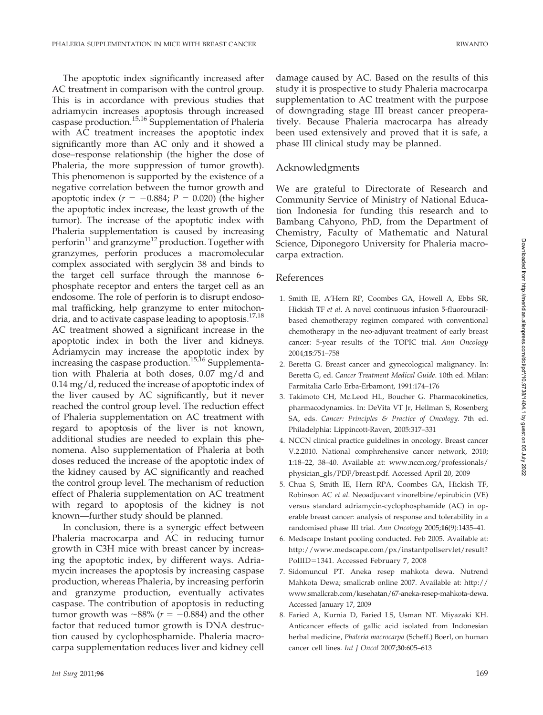The apoptotic index significantly increased after AC treatment in comparison with the control group. This is in accordance with previous studies that adriamycin increases apoptosis through increased caspase production.<sup>15,16</sup> Supplementation of Phaleria with AC treatment increases the apoptotic index significantly more than AC only and it showed a dose–response relationship (the higher the dose of Phaleria, the more suppression of tumor growth). This phenomenon is supported by the existence of a negative correlation between the tumor growth and apoptotic index ( $r = -0.884$ ;  $P = 0.020$ ) (the higher the apoptotic index increase, the least growth of the tumor). The increase of the apoptotic index with Phaleria supplementation is caused by increasing perforin<sup>11</sup> and granzyme<sup>12</sup> production. Together with granzymes, perforin produces a macromolecular complex associated with serglycin 38 and binds to the target cell surface through the mannose 6 phosphate receptor and enters the target cell as an endosome. The role of perforin is to disrupt endosomal trafficking, help granzyme to enter mitochondria, and to activate caspase leading to apoptosis.<sup>17,18</sup> AC treatment showed a significant increase in the apoptotic index in both the liver and kidneys. Adriamycin may increase the apoptotic index by increasing the caspase production.<sup>15,16</sup> Supplementation with Phaleria at both doses, 0.07 mg/d and 0.14 mg/d, reduced the increase of apoptotic index of the liver caused by AC significantly, but it never reached the control group level. The reduction effect of Phaleria supplementation on AC treatment with regard to apoptosis of the liver is not known, additional studies are needed to explain this phenomena. Also supplementation of Phaleria at both doses reduced the increase of the apoptotic index of the kidney caused by AC significantly and reached the control group level. The mechanism of reduction effect of Phaleria supplementation on AC treatment with regard to apoptosis of the kidney is not known—further study should be planned.

In conclusion, there is a synergic effect between Phaleria macrocarpa and AC in reducing tumor growth in C3H mice with breast cancer by increasing the apoptotic index, by different ways. Adriamycin increases the apoptosis by increasing caspase production, whereas Phaleria, by increasing perforin and granzyme production, eventually activates caspase. The contribution of apoptosis in reducting tumor growth was  $\sim 88\%$  ( $r = -0.884$ ) and the other factor that reduced tumor growth is DNA destruction caused by cyclophosphamide. Phaleria macrocarpa supplementation reduces liver and kidney cell

damage caused by AC. Based on the results of this study it is prospective to study Phaleria macrocarpa supplementation to AC treatment with the purpose of downgrading stage III breast cancer preoperatively. Because Phaleria macrocarpa has already been used extensively and proved that it is safe, a phase III clinical study may be planned.

## Acknowledgments

We are grateful to Directorate of Research and Community Service of Ministry of National Education Indonesia for funding this research and to Bambang Cahyono, PhD, from the Department of Chemistry, Faculty of Mathematic and Natural Science, Diponegoro University for Phaleria macrocarpa extraction.

### References

- 1. Smith IE, A'Hern RP, Coombes GA, Howell A, Ebbs SR, Hickish TF et al. A novel continuous infusion 5-fluorouracilbased chemotherapy regimen compared with conventional chemotherapy in the neo-adjuvant treatment of early breast cancer: 5-year results of the TOPIC trial. Ann Oncology 2004;15:751–758
- 2. Beretta G. Breast cancer and gynecological malignancy. In: Beretta G, ed. Cancer Treatment Medical Guide. 10th ed. Milan: Farmitalia Carlo Erba-Erbamont, 1991:174–176
- 3. Takimoto CH, Mc.Leod HL, Boucher G. Pharmacokinetics, pharmacodynamics. In: DeVita VT Jr, Hellman S, Rosenberg SA, eds. Cancer: Principles & Practice of Oncology. 7th ed. Philadelphia: Lippincott-Raven, 2005:317–331
- 4. NCCN clinical practice guidelines in oncology. Breast cancer V.2.2010. National comphrehensive cancer network, 2010; 1:18–22, 38–40. Available at: www.nccn.org/professionals/ physician\_gls/PDF/breast.pdf. Accessed April 20, 2009
- 5. Chua S, Smith IE, Hern RPA, Coombes GA, Hickish TF, Robinson AC et al. Neoadjuvant vinorelbine/epirubicin (VE) versus standard adriamycin-cyclophosphamide (AC) in operable breast cancer: analysis of response and tolerability in a randomised phase III trial. Ann Oncology 2005;16(9):1435–41.
- 6. Medscape Instant pooling conducted. Feb 2005. Available at: http://www.medscape.com/px/instantpollservlet/result? PoIIID=1341. Accessed February 7, 2008
- 7. Sidomuncul PT. Aneka resep mahkota dewa. Nutrend Mahkota Dewa; smallcrab online 2007. Available at: http:// www.smallcrab.com/kesehatan/67-aneka-resep-mahkota-dewa. Accessed January 17, 2009
- 8. Faried A, Kurnia D, Faried LS, Usman NT. Miyazaki KH. Anticancer effects of gallic acid isolated from Indonesian herbal medicine, Phaleria macrocarpa (Scheff.) Boerl, on human cancer cell lines. Int J Oncol 2007;30:605–613